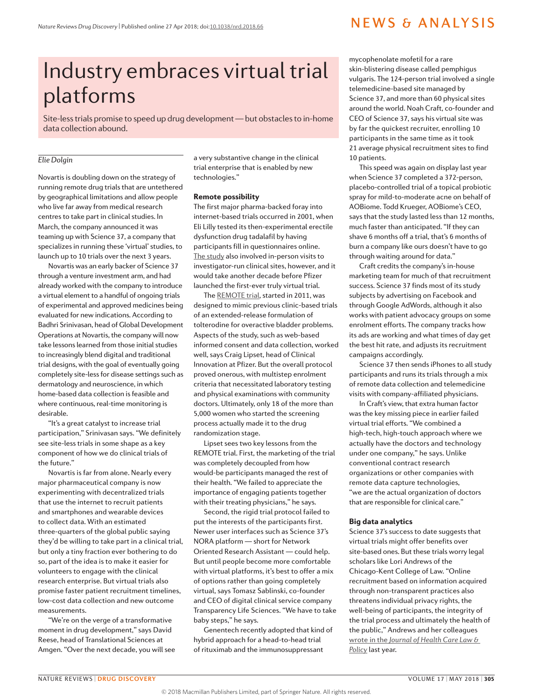## NEWS & ANALYSIS

# Industry embraces virtual trial platforms

Site-less trials promise to speed up drug development — but obstacles to in-home data collection abound.

### *Elie Dolgin*

Novartis is doubling down on the strategy of running remote drug trials that are untethered by geographical limitations and allow people who live far away from medical research centres to take part in clinical studies. In March, the company announced it was teaming up with Science 37, a company that specializes in running these 'virtual' studies, to launch up to 10 trials over the next 3 years.

Novartis was an early backer of Science 37 through a venture investment arm, and had already worked with the company to introduce a virtual element to a handful of ongoing trials of experimental and approved medicines being evaluated for new indications. According to Badhri Srinivasan, head of Global Development Operations at Novartis, the company will now take lessons learned from those initial studies to increasingly blend digital and traditional trial designs, with the goal of eventually going completely site-less for disease settings such as dermatology and neuroscience, in which home-based data collection is feasible and where continuous, real-time monitoring is desirable.

"It's a great catalyst to increase trial participation," Srinivasan says. "We definitely see site-less trials in some shape as a key component of how we do clinical trials of the future."

Novartis is far from alone. Nearly every major pharmaceutical company is now experimenting with decentralized trials that use the internet to recruit patients and smartphones and wearable devices to collect data. With an estimated three-quarters of the global public saying they'd be willing to take part in a clinical trial, but only a tiny fraction ever bothering to do so, part of the idea is to make it easier for volunteers to engage with the clinical research enterprise. But virtual trials also promise faster patient recruitment timelines, low-cost data collection and new outcome measurements.

"We're on the verge of a transformative moment in drug development," says David Reese, head of Translational Sciences at Amgen. "Over the next decade, you will see a very substantive change in the clinical trial enterprise that is enabled by new technologies."

#### Remote possibility

The first major pharma-backed foray into internet-based trials occurred in 2001, when Eli Lilly tested its then-experimental erectile dysfunction drug tadalafil by having participants fill in questionnaires online. [The study](http://journals.sagepub.com/doi/abs/10.1177/009286150403800303?journalCode=dijb) also involved in-person visits to investigator-run clinical sites, however, and it would take another decade before Pfizer launched the first-ever truly virtual trial.

The [REMOTE trial,](http://www.contemporaryclinicaltrials.com/article/S1551-7144%2814%2900057-3/abstract) started in 2011, was designed to mimic previous clinic-based trials of an extended-release formulation of tolterodine for overactive bladder problems. Aspects of the study, such as web-based informed consent and data collection, worked well, says Craig Lipset, head of Clinical Innovation at Pfizer. But the overall protocol proved onerous, with multistep enrolment criteria that necessitated laboratory testing and physical examinations with community doctors. Ultimately, only 18 of the more than 5,000 women who started the screening process actually made it to the drug randomization stage.

Lipset sees two key lessons from the REMOTE trial. First, the marketing of the trial was completely decoupled from how would-be participants managed the rest of their health. "We failed to appreciate the importance of engaging patients together with their treating physicians," he says.

Second, the rigid trial protocol failed to put the interests of the participants first. Newer user interfaces such as Science 37's NORA platform — short for Network Oriented Research Assistant — could help. But until people become more comfortable with virtual platforms, it's best to offer a mix of options rather than going completely virtual, says Tomasz Sablinski, co-founder and CEO of digital clinical service company Transparency Life Sciences. "We have to take baby steps," he says.

Genentech recently adopted that kind of hybrid approach for a head-to-head trial of rituximab and the immunosuppressant

mycophenolate mofetil for a rare skin-blistering disease called pemphigus vulgaris. The 124-person trial involved a single telemedicine-based site managed by Science 37, and more than 60 physical sites around the world. Noah Craft, co-founder and CEO of Science 37, says his virtual site was by far the quickest recruiter, enrolling 10 participants in the same time as it took 21 average physical recruitment sites to find 10 patients.

This speed was again on display last year when Science 37 completed a 372-person, placebo-controlled trial of a topical probiotic spray for mild-to-moderate acne on behalf of AOBiome. Todd Krueger, AOBiome's CEO, says that the study lasted less than 12 months, much faster than anticipated. "If they can shave 6 months off a trial, that's 6 months of burn a company like ours doesn't have to go through waiting around for data."

Craft credits the company's in-house marketing team for much of that recruitment success. Science 37 finds most of its study subjects by advertising on Facebook and through Google AdWords, although it also works with patient advocacy groups on some enrolment efforts. The company tracks how its ads are working and what times of day get the best hit rate, and adjusts its recruitment campaigns accordingly.

Science 37 then sends iPhones to all study participants and runs its trials through a mix of remote data collection and telemedicine visits with company-affiliated physicians.

In Craft's view, that extra human factor was the key missing piece in earlier failed virtual trial efforts. "We combined a high-tech, high-touch approach where we actually have the doctors and technology under one company," he says. Unlike conventional contract research organizations or other companies with remote data capture technologies, "we are the actual organization of doctors that are responsible for clinical care."

#### Big data analytics

Science 37's success to date suggests that virtual trials might offer benefits over site-based ones. But these trials worry legal scholars like Lori Andrews of the Chicago-Kent College of Law. "Online recruitment based on information acquired through non-transparent practices also threatens individual privacy rights, the well-being of participants, the integrity of the trial process and ultimately the health of the public," Andrews and her colleagues wrote in the *[Journal of Health Care Law &](http://digitalcommons.law.umaryland.edu/jhclp/vol19/iss2/2/)  [Policy](http://digitalcommons.law.umaryland.edu/jhclp/vol19/iss2/2/)* last year.